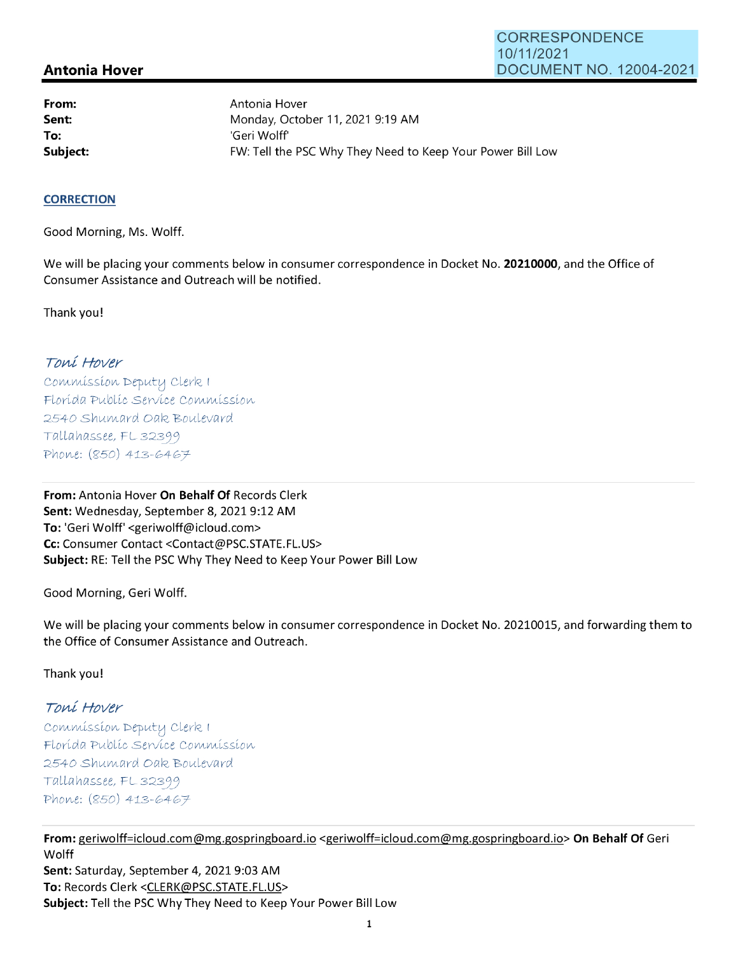# **Antonia Hover**

**From: Sent: To:** 

Antonia Hover Monday, October 11, 2021 9:19 AM 'Geri Wolff' **Subject: EXALG:** FW: Tell the PSC Why They Need to Keep Your Power Bill Low

#### **CORRECTION**

Good Morning, Ms. Wolff.

We will be placing your comments below in consumer correspondence in Docket No. **20210000,** and the Office of Consumer Assistance and Outreach will be notified.

Thank you!

# Toní Hover

Commission Deputy Clerk 1 Florída Publíc Servíce Commission 2540 Shumard Oak Boulevard  $Tallahasse, FL 32399$ Phone: (850) 413-6467

**From:** Antonia Hover **On Behalf Of** Records Clerk **Sent:** Wednesday, September 8, 2021 9:12 AM **To:** 'Geri Wolff' <geriwolff@icloud.com> **Cc:** Consumer Contact <Contact@PSC.STATE.FL.US> **Subject:** RE: Tell the PSC Why They Need to Keep Your Power Bill Low

Good Morning, Geri Wolff.

We will be placing your comments below in consumer correspondence in Docket No. 20210015, and forwarding them to the Office of Consumer Assistance and Outreach.

Thank you!

### Toní Hover

Commission Deputy Clerk I Florída Publíc Servíce Commission 2540 Shumard Oak Boulevard  $Tallahassee, FLS 2399$ Phone: (850) 413-6467

**From:** geriwolff=icloud.com@mg.gospringboard.io <geriwolff=icloud.com@mg.gospringboard.io> **On Behalf Of** Geri **Wolff Sent:** Saturday, September 4, 2021 9:03 AM **To:** Records Clerk <CLERK@PSC.STATE.FL.US> **Subject:** Tell the PSC Why They Need to Keep Your Power Bill Low